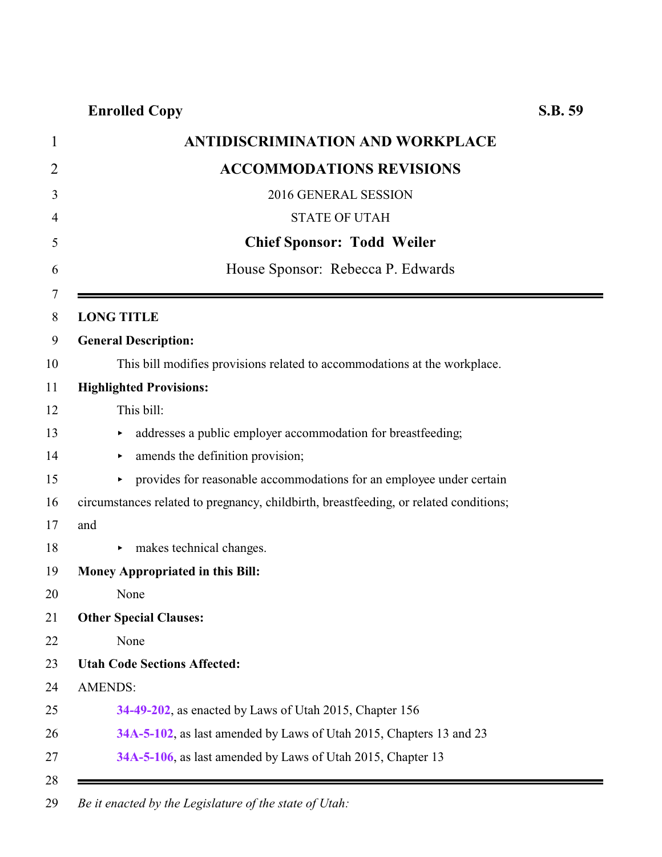|     | <b>ANTIDISCRIMINATION AND WORKPLACE</b>                                               |
|-----|---------------------------------------------------------------------------------------|
|     | <b>ACCOMMODATIONS REVISIONS</b>                                                       |
|     | 2016 GENERAL SESSION                                                                  |
|     | <b>STATE OF UTAH</b>                                                                  |
|     | <b>Chief Sponsor: Todd Weiler</b>                                                     |
|     | House Sponsor: Rebecca P. Edwards                                                     |
|     | <b>LONG TITLE</b>                                                                     |
|     | <b>General Description:</b>                                                           |
|     | This bill modifies provisions related to accommodations at the workplace.             |
|     | <b>Highlighted Provisions:</b>                                                        |
|     | This bill:                                                                            |
|     | addresses a public employer accommodation for breastfeeding;                          |
|     | amends the definition provision;<br>▶                                                 |
|     | provides for reasonable accommodations for an employee under certain<br>Þ.            |
|     | circumstances related to pregnancy, childbirth, breastfeeding, or related conditions; |
| and |                                                                                       |
|     | makes technical changes.                                                              |
|     | <b>Money Appropriated in this Bill:</b>                                               |
|     | None                                                                                  |
|     | <b>Other Special Clauses:</b>                                                         |
|     | None                                                                                  |
|     | <b>Utah Code Sections Affected:</b>                                                   |
|     | <b>AMENDS:</b>                                                                        |
|     | 34-49-202, as enacted by Laws of Utah 2015, Chapter 156                               |
|     | 34A-5-102, as last amended by Laws of Utah 2015, Chapters 13 and 23                   |
|     | 34A-5-106, as last amended by Laws of Utah 2015, Chapter 13                           |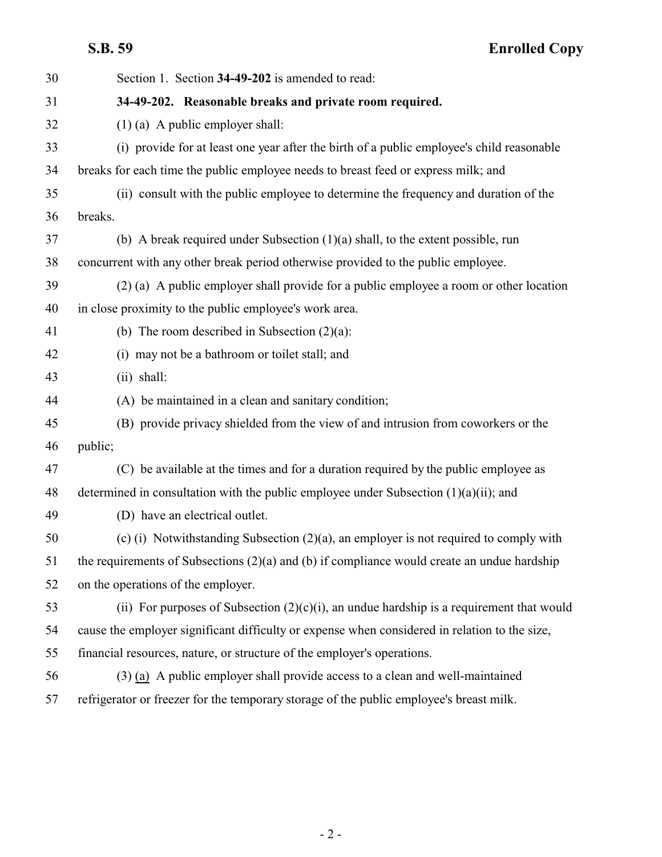<span id="page-1-0"></span>

| 30 | Section 1. Section 34-49-202 is amended to read:                                                |
|----|-------------------------------------------------------------------------------------------------|
| 31 | 34-49-202. Reasonable breaks and private room required.                                         |
| 32 | $(1)$ (a) A public employer shall:                                                              |
| 33 | (i) provide for at least one year after the birth of a public employee's child reasonable       |
| 34 | breaks for each time the public employee needs to breast feed or express milk; and              |
| 35 | (ii) consult with the public employee to determine the frequency and duration of the            |
| 36 | breaks.                                                                                         |
| 37 | (b) A break required under Subsection $(1)(a)$ shall, to the extent possible, run               |
| 38 | concurrent with any other break period otherwise provided to the public employee.               |
| 39 | (2) (a) A public employer shall provide for a public employee a room or other location          |
| 40 | in close proximity to the public employee's work area.                                          |
| 41 | (b) The room described in Subsection $(2)(a)$ :                                                 |
| 42 | (i) may not be a bathroom or toilet stall; and                                                  |
| 43 | $(ii)$ shall:                                                                                   |
| 44 | (A) be maintained in a clean and sanitary condition;                                            |
| 45 | (B) provide privacy shielded from the view of and intrusion from coworkers or the               |
| 46 | public;                                                                                         |
| 47 | (C) be available at the times and for a duration required by the public employee as             |
| 48 | determined in consultation with the public employee under Subsection $(1)(a)(ii)$ ; and         |
| 49 | (D) have an electrical outlet.                                                                  |
| 50 | (c) (i) Notwithstanding Subsection (2)(a), an employer is not required to comply with           |
| 51 | the requirements of Subsections $(2)(a)$ and $(b)$ if compliance would create an undue hardship |
| 52 | on the operations of the employer.                                                              |
| 53 | (ii) For purposes of Subsection $(2)(c)(i)$ , an undue hardship is a requirement that would     |
| 54 | cause the employer significant difficulty or expense when considered in relation to the size,   |
| 55 | financial resources, nature, or structure of the employer's operations.                         |
| 56 | (3) (a) A public employer shall provide access to a clean and well-maintained                   |
| 57 | refrigerator or freezer for the temporary storage of the public employee's breast milk.         |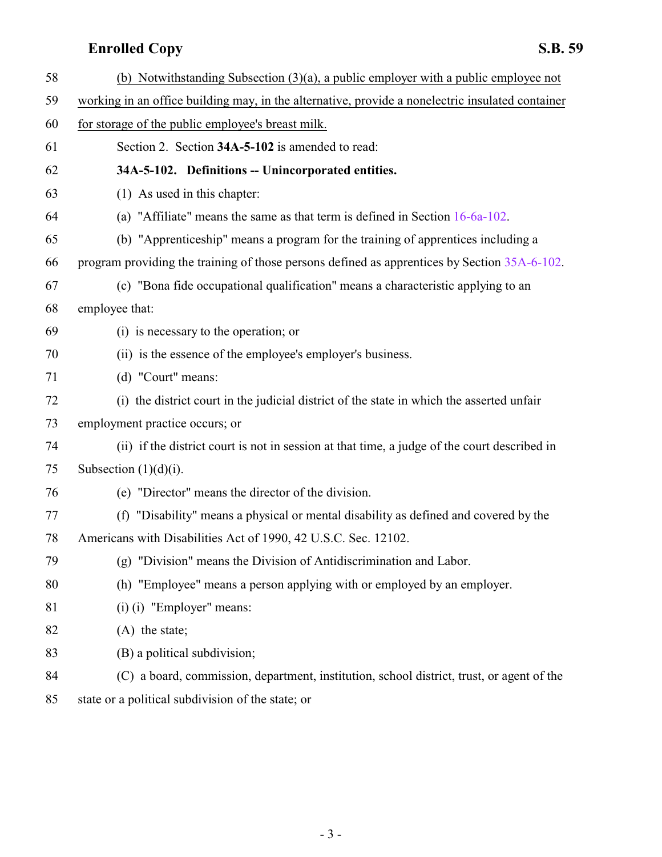<span id="page-2-0"></span>

| 58                | (b) Notwithstanding Subsection $(3)(a)$ , a public employer with a public employee not           |
|-------------------|--------------------------------------------------------------------------------------------------|
| 59                | working in an office building may, in the alternative, provide a nonelectric insulated container |
| 60                | for storage of the public employee's breast milk.                                                |
| 61                | Section 2. Section 34A-5-102 is amended to read:                                                 |
| 62                | 34A-5-102. Definitions -- Unincorporated entities.                                               |
| 63                | (1) As used in this chapter:                                                                     |
| 64                | (a) "Affiliate" means the same as that term is defined in Section $16-6a-102$ .                  |
| 65                | (b) "Apprenticeship" means a program for the training of apprentices including a                 |
| 66                | program providing the training of those persons defined as apprentices by Section 35A-6-102.     |
| 67                | (c) "Bona fide occupational qualification" means a characteristic applying to an                 |
| 68                | employee that:                                                                                   |
| 69                | (i) is necessary to the operation; or                                                            |
| 70                | (ii) is the essence of the employee's employer's business.                                       |
| 71                | (d) "Court" means:                                                                               |
| 72                | (i) the district court in the judicial district of the state in which the asserted unfair        |
| 73                | employment practice occurs; or                                                                   |
| 74                | (ii) if the district court is not in session at that time, a judge of the court described in     |
| 75                | Subsection $(1)(d)(i)$ .                                                                         |
| 76                | (e) "Director" means the director of the division.                                               |
| 77                | (f) "Disability" means a physical or mental disability as defined and covered by the             |
| 78                | Americans with Disabilities Act of 1990, 42 U.S.C. Sec. 12102.                                   |
| 79                | "Division" means the Division of Antidiscrimination and Labor.<br>(g)                            |
| 80                | (h) "Employee" means a person applying with or employed by an employer.                          |
| 81                | $(i)$ (i) "Employer" means:                                                                      |
| 82                | $(A)$ the state;                                                                                 |
| 83                | (B) a political subdivision;                                                                     |
| 84                | (C) a board, commission, department, institution, school district, trust, or agent of the        |
| $\Omega$ $\Gamma$ |                                                                                                  |

state or a political subdivision of the state; or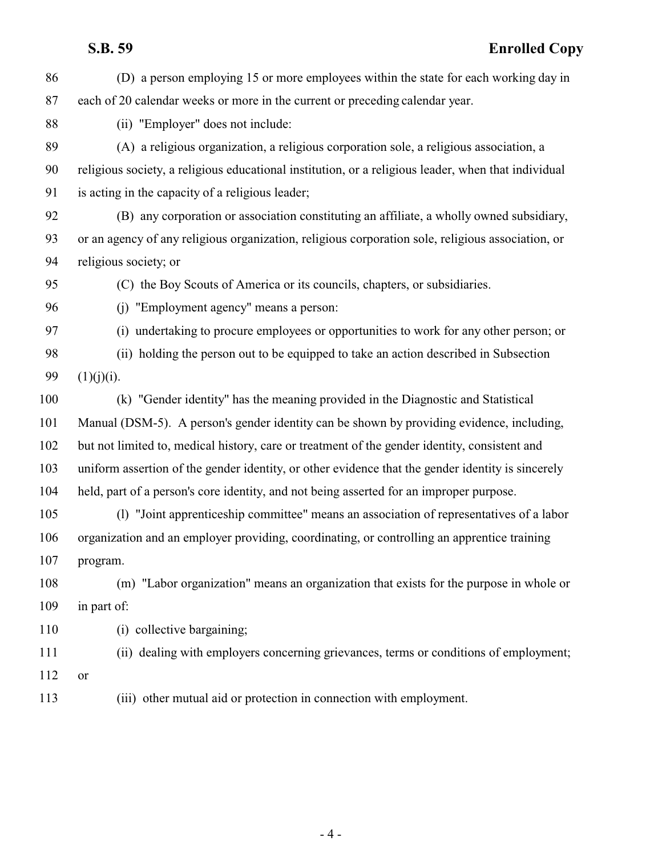| 86  | (D) a person employing 15 or more employees within the state for each working day in                |
|-----|-----------------------------------------------------------------------------------------------------|
| 87  | each of 20 calendar weeks or more in the current or preceding calendar year.                        |
| 88  | (ii) "Employer" does not include:                                                                   |
| 89  | (A) a religious organization, a religious corporation sole, a religious association, a              |
| 90  | religious society, a religious educational institution, or a religious leader, when that individual |
| 91  | is acting in the capacity of a religious leader;                                                    |
| 92  | (B) any corporation or association constituting an affiliate, a wholly owned subsidiary,            |
| 93  | or an agency of any religious organization, religious corporation sole, religious association, or   |
| 94  | religious society; or                                                                               |
| 95  | (C) the Boy Scouts of America or its councils, chapters, or subsidiaries.                           |
| 96  | (i) "Employment agency" means a person:                                                             |
| 97  | (i) undertaking to procure employees or opportunities to work for any other person; or              |
| 98  | (ii) holding the person out to be equipped to take an action described in Subsection                |
| 99  | (1)(j)(i).                                                                                          |
| 100 | (k) "Gender identity" has the meaning provided in the Diagnostic and Statistical                    |
| 101 | Manual (DSM-5). A person's gender identity can be shown by providing evidence, including,           |
| 102 | but not limited to, medical history, care or treatment of the gender identity, consistent and       |
| 103 | uniform assertion of the gender identity, or other evidence that the gender identity is sincerely   |
| 104 | held, part of a person's core identity, and not being asserted for an improper purpose.             |
| 105 | (1) "Joint apprenticeship committee" means an association of representatives of a labor             |
| 106 | organization and an employer providing, coordinating, or controlling an apprentice training         |
| 107 | program.                                                                                            |
| 108 | (m) "Labor organization" means an organization that exists for the purpose in whole or              |
| 109 | in part of:                                                                                         |
| 110 | (i) collective bargaining;                                                                          |
| 111 | (ii) dealing with employers concerning grievances, terms or conditions of employment;               |
| 112 | or                                                                                                  |
| 113 | (iii) other mutual aid or protection in connection with employment.                                 |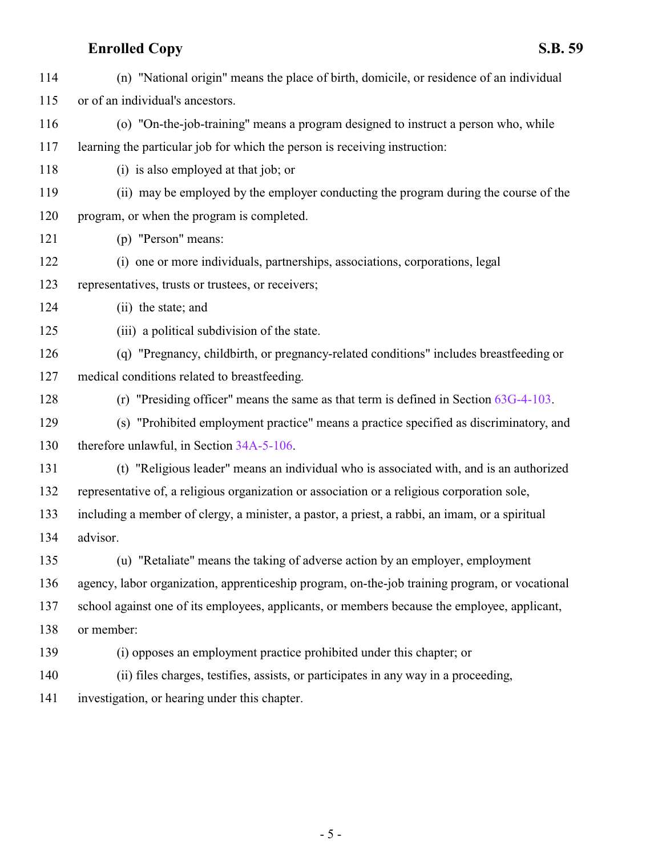| 114 | (n) "National origin" means the place of birth, domicile, or residence of an individual        |
|-----|------------------------------------------------------------------------------------------------|
| 115 | or of an individual's ancestors.                                                               |
| 116 | (o) "On-the-job-training" means a program designed to instruct a person who, while             |
| 117 | learning the particular job for which the person is receiving instruction:                     |
| 118 | (i) is also employed at that job; or                                                           |
| 119 | (ii) may be employed by the employer conducting the program during the course of the           |
| 120 | program, or when the program is completed.                                                     |
| 121 | (p) "Person" means:                                                                            |
| 122 | (i) one or more individuals, partnerships, associations, corporations, legal                   |
| 123 | representatives, trusts or trustees, or receivers;                                             |
| 124 | (ii) the state; and                                                                            |
| 125 | (iii) a political subdivision of the state.                                                    |
| 126 | (q) "Pregnancy, childbirth, or pregnancy-related conditions" includes breastfeeding or         |
| 127 | medical conditions related to breastfeeding.                                                   |
| 128 | (r) "Presiding officer" means the same as that term is defined in Section $63G-4-103$ .        |
| 129 | (s) "Prohibited employment practice" means a practice specified as discriminatory, and         |
| 130 | therefore unlawful, in Section 34A-5-106.                                                      |
| 131 | (t) "Religious leader" means an individual who is associated with, and is an authorized        |
| 132 | representative of, a religious organization or association or a religious corporation sole,    |
| 133 | including a member of clergy, a minister, a pastor, a priest, a rabbi, an imam, or a spiritual |
| 134 | advisor.                                                                                       |
| 135 | (u) "Retaliate" means the taking of adverse action by an employer, employment                  |
| 136 | agency, labor organization, apprenticeship program, on-the-job training program, or vocational |
| 137 | school against one of its employees, applicants, or members because the employee, applicant,   |
| 138 | or member:                                                                                     |
| 139 | (i) opposes an employment practice prohibited under this chapter; or                           |
| 140 | (ii) files charges, testifies, assists, or participates in any way in a proceeding,            |
|     |                                                                                                |

investigation, or hearing under this chapter.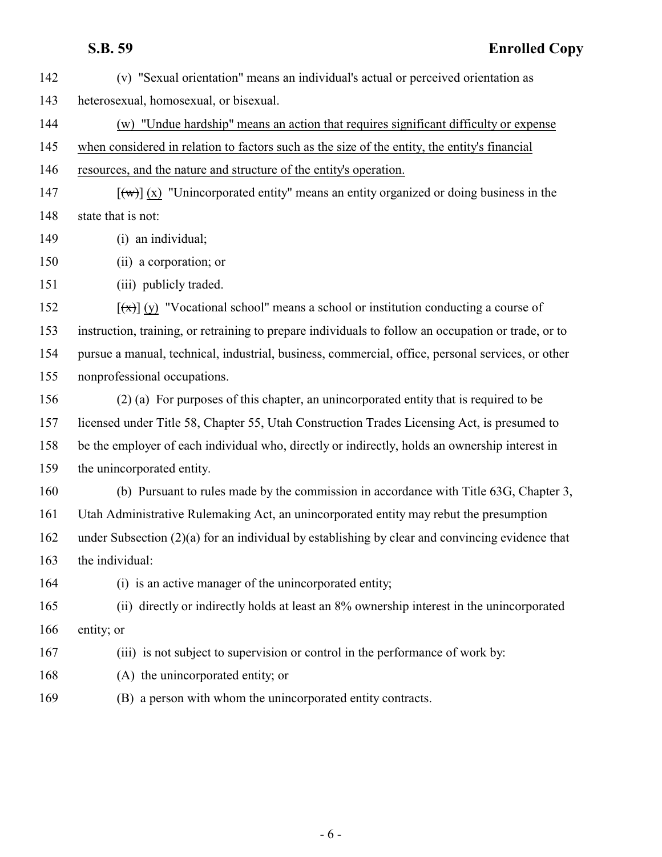(v) "Sexual orientation" means an individual's actual or perceived orientation as heterosexual, homosexual, or bisexual. (w) "Undue hardship" means an action that requires significant difficulty or expense when considered in relation to factors such as the size of the entity, the entity's financial resources, and the nature and structure of the entity's operation.  $[(\forall \theta)](x)$  "Unincorporated entity" means an entity organized or doing business in the

148 state that is not:

- (i) an individual;
- (ii) a corporation; or

(iii) publicly traded.

 $[(\pi)]$  (y) "Vocational school" means a school or institution conducting a course of instruction, training, or retraining to prepare individuals to follow an occupation or trade, or to pursue a manual, technical, industrial, business, commercial, office, personal services, or other nonprofessional occupations.

- (2) (a) For purposes of this chapter, an unincorporated entity that is required to be licensed under Title 58, Chapter 55, Utah Construction Trades Licensing Act, is presumed to be the employer of each individual who, directly or indirectly, holds an ownership interest in the unincorporated entity.
- (b) Pursuant to rules made by the commission in accordance with Title 63G, Chapter 3, Utah Administrative Rulemaking Act, an unincorporated entity may rebut the presumption under Subsection (2)(a) for an individual by establishing by clear and convincing evidence that
- the individual:

(i) is an active manager of the unincorporated entity;

 (ii) directly or indirectly holds at least an 8% ownership interest in the unincorporated 166 entity; or

- (iii) is not subject to supervision or control in the performance of work by:
- (A) the unincorporated entity; or
- (B) a person with whom the unincorporated entity contracts.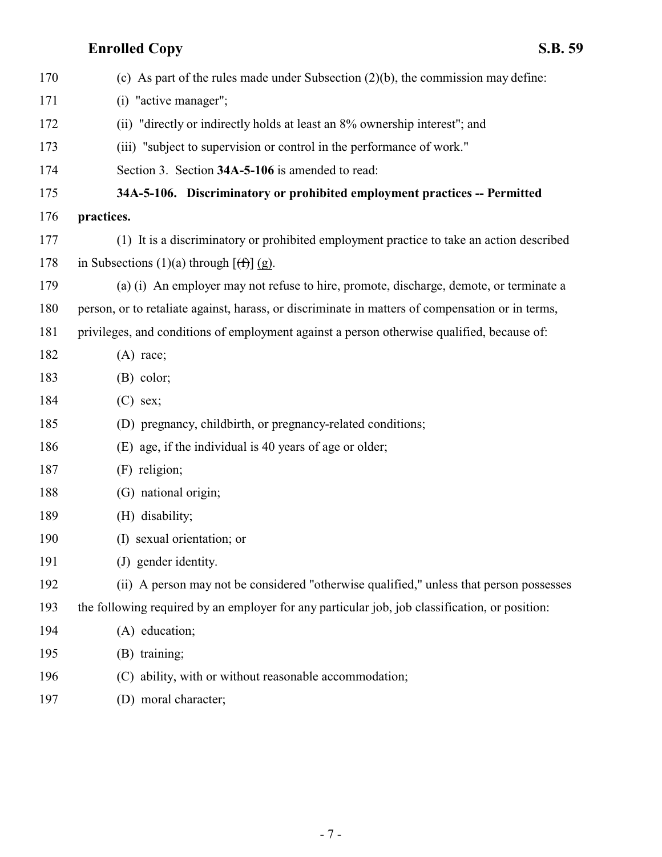<span id="page-6-0"></span>

| 170 | (c) As part of the rules made under Subsection $(2)(b)$ , the commission may define:             |
|-----|--------------------------------------------------------------------------------------------------|
| 171 | (i) "active manager";                                                                            |
| 172 | (ii) "directly or indirectly holds at least an 8% ownership interest"; and                       |
| 173 | (iii) "subject to supervision or control in the performance of work."                            |
| 174 | Section 3. Section 34A-5-106 is amended to read:                                                 |
| 175 | 34A-5-106. Discriminatory or prohibited employment practices -- Permitted                        |
| 176 | practices.                                                                                       |
| 177 | (1) It is a discriminatory or prohibited employment practice to take an action described         |
| 178 | in Subsections (1)(a) through $[ff](g)$ .                                                        |
| 179 | (a) (i) An employer may not refuse to hire, promote, discharge, demote, or terminate a           |
| 180 | person, or to retaliate against, harass, or discriminate in matters of compensation or in terms, |
| 181 | privileges, and conditions of employment against a person otherwise qualified, because of:       |
| 182 | $(A)$ race;                                                                                      |
| 183 | $(B)$ color;                                                                                     |
| 184 | $(C)$ sex;                                                                                       |
| 185 | (D) pregnancy, childbirth, or pregnancy-related conditions;                                      |
| 186 | (E) age, if the individual is 40 years of age or older;                                          |
| 187 | (F) religion;                                                                                    |
| 188 | (G) national origin;                                                                             |
| 189 | (H) disability;                                                                                  |
| 190 | (I) sexual orientation; or                                                                       |
| 191 | (J) gender identity.                                                                             |
| 192 | (ii) A person may not be considered "otherwise qualified," unless that person possesses          |
| 193 | the following required by an employer for any particular job, job classification, or position:   |
| 194 | (A) education;                                                                                   |
| 195 | (B) training;                                                                                    |
| 196 | (C) ability, with or without reasonable accommodation;                                           |
| 197 | (D) moral character;                                                                             |
|     |                                                                                                  |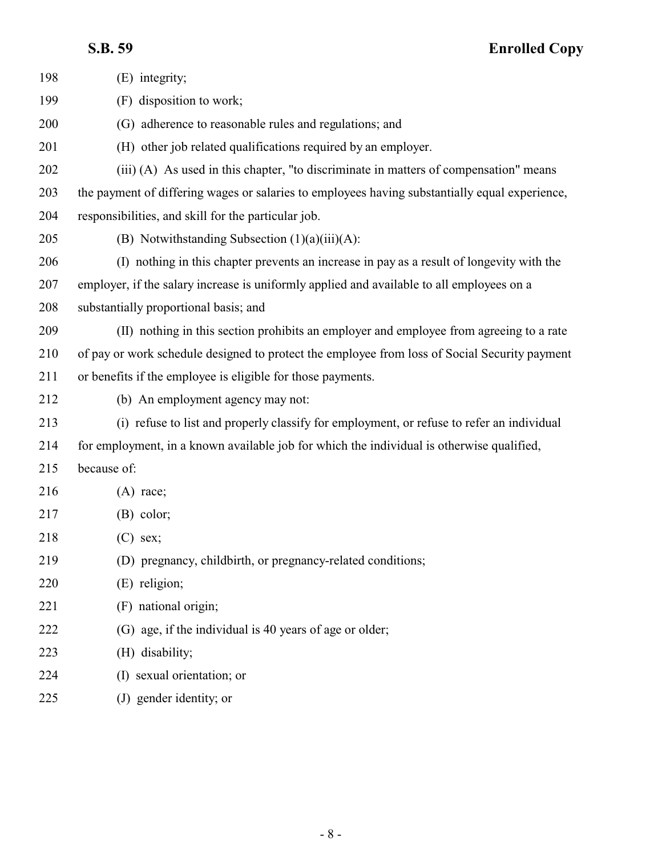| 198 | (E) integrity;                                                                                 |
|-----|------------------------------------------------------------------------------------------------|
| 199 | disposition to work;<br>(F)                                                                    |
| 200 | (G) adherence to reasonable rules and regulations; and                                         |
| 201 | (H) other job related qualifications required by an employer.                                  |
| 202 | (iii) (A) As used in this chapter, "to discriminate in matters of compensation" means          |
| 203 | the payment of differing wages or salaries to employees having substantially equal experience, |
| 204 | responsibilities, and skill for the particular job.                                            |
| 205 | (B) Notwithstanding Subsection $(1)(a)(iii)(A)$ :                                              |
| 206 | (I) nothing in this chapter prevents an increase in pay as a result of longevity with the      |
| 207 | employer, if the salary increase is uniformly applied and available to all employees on a      |
| 208 | substantially proportional basis; and                                                          |
| 209 | (II) nothing in this section prohibits an employer and employee from agreeing to a rate        |
| 210 | of pay or work schedule designed to protect the employee from loss of Social Security payment  |
| 211 | or benefits if the employee is eligible for those payments.                                    |
| 212 | (b) An employment agency may not:                                                              |
| 213 | (i) refuse to list and properly classify for employment, or refuse to refer an individual      |
| 214 | for employment, in a known available job for which the individual is otherwise qualified,      |
| 215 | because of:                                                                                    |
| 216 | $(A)$ race;                                                                                    |
| 217 | $(B)$ color;                                                                                   |
| 218 | $(C)$ sex;                                                                                     |
| 219 | (D) pregnancy, childbirth, or pregnancy-related conditions;                                    |
| 220 | (E) religion;                                                                                  |
| 221 | (F) national origin;                                                                           |
| 222 | (G) age, if the individual is 40 years of age or older;                                        |
| 223 | (H) disability;                                                                                |
| 224 | (I) sexual orientation; or                                                                     |
| 225 | (J) gender identity; or                                                                        |
|     |                                                                                                |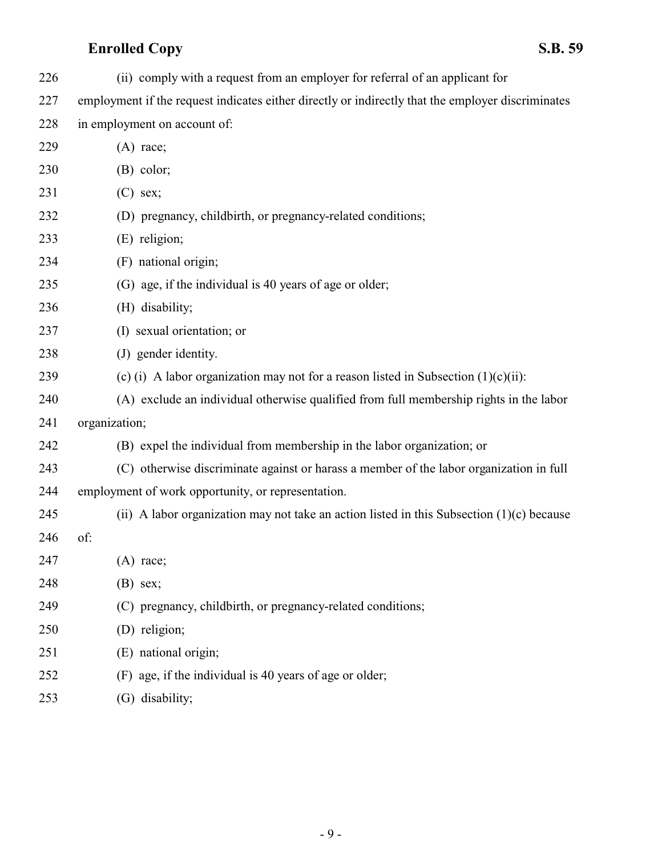(ii) comply with a request from an employer for referral of an applicant for

employment if the request indicates either directly or indirectly that the employer discriminates

| 228 | in employment on account of: |
|-----|------------------------------|
|-----|------------------------------|

| 229 | $(A)$ race;                                                                                 |
|-----|---------------------------------------------------------------------------------------------|
| 230 | $(B)$ color;                                                                                |
| 231 | $(C)$ sex;                                                                                  |
| 232 | (D) pregnancy, childbirth, or pregnancy-related conditions;                                 |
| 233 | (E) religion;                                                                               |
| 234 | (F) national origin;                                                                        |
| 235 | (G) age, if the individual is 40 years of age or older;                                     |
| 236 | (H) disability;                                                                             |
| 237 | (I) sexual orientation; or                                                                  |
| 238 | (J) gender identity.                                                                        |
| 239 | (c) (i) A labor organization may not for a reason listed in Subsection $(1)(c)(ii)$ :       |
| 240 | (A) exclude an individual otherwise qualified from full membership rights in the labor      |
| 241 | organization;                                                                               |
| 242 | (B) expel the individual from membership in the labor organization; or                      |
| 243 | (C) otherwise discriminate against or harass a member of the labor organization in full     |
| 244 | employment of work opportunity, or representation.                                          |
| 245 | (ii) A labor organization may not take an action listed in this Subsection $(1)(c)$ because |
| 246 | of:                                                                                         |
| 247 | $(A)$ race;                                                                                 |
| 248 | $(B)$ sex;                                                                                  |
| 249 | (C) pregnancy, childbirth, or pregnancy-related conditions;                                 |
| 250 | (D) religion;                                                                               |
| 251 | (E) national origin;                                                                        |
| 252 | (F) age, if the individual is 40 years of age or older;                                     |
| 253 | (G) disability;                                                                             |
|     |                                                                                             |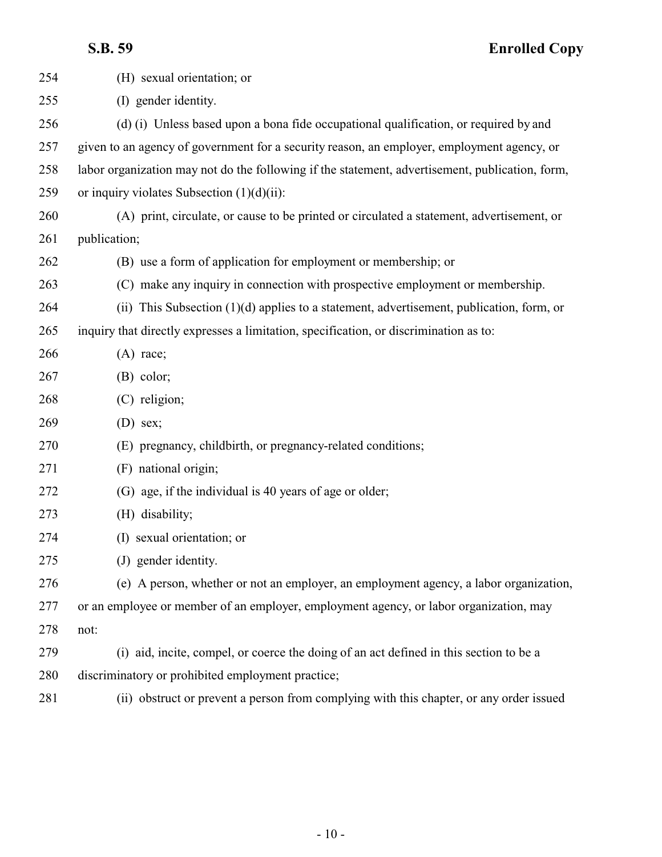| 254 | (H) sexual orientation; or                                                                      |
|-----|-------------------------------------------------------------------------------------------------|
| 255 | (I) gender identity.                                                                            |
| 256 | (d) (i) Unless based upon a bona fide occupational qualification, or required by and            |
| 257 | given to an agency of government for a security reason, an employer, employment agency, or      |
| 258 | labor organization may not do the following if the statement, advertisement, publication, form, |
| 259 | or inquiry violates Subsection $(1)(d)(ii)$ :                                                   |
| 260 | (A) print, circulate, or cause to be printed or circulated a statement, advertisement, or       |
| 261 | publication;                                                                                    |
| 262 | (B) use a form of application for employment or membership; or                                  |
| 263 | (C) make any inquiry in connection with prospective employment or membership.                   |
| 264 | (ii) This Subsection $(1)(d)$ applies to a statement, advertisement, publication, form, or      |
| 265 | inquiry that directly expresses a limitation, specification, or discrimination as to:           |
| 266 | $(A)$ race;                                                                                     |
| 267 | $(B)$ color;                                                                                    |
| 268 | (C) religion;                                                                                   |
| 269 | $(D)$ sex;                                                                                      |
| 270 | (E) pregnancy, childbirth, or pregnancy-related conditions;                                     |
| 271 | (F) national origin;                                                                            |
| 272 | (G) age, if the individual is 40 years of age or older;                                         |
| 273 | (H) disability;                                                                                 |
| 274 | (I) sexual orientation; or                                                                      |
| 275 | (J) gender identity.                                                                            |
| 276 | (e) A person, whether or not an employer, an employment agency, a labor organization,           |
| 277 | or an employee or member of an employer, employment agency, or labor organization, may          |
| 278 | not:                                                                                            |
| 279 | (i) aid, incite, compel, or coerce the doing of an act defined in this section to be a          |
| 280 | discriminatory or prohibited employment practice;                                               |
| 281 | (ii) obstruct or prevent a person from complying with this chapter, or any order issued         |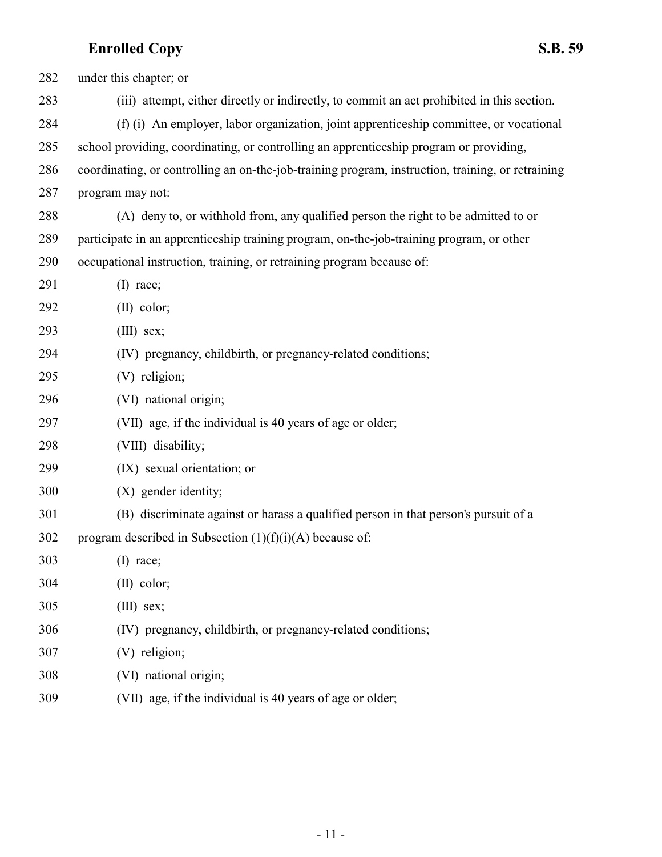| 282 | under this chapter; or                                                                            |
|-----|---------------------------------------------------------------------------------------------------|
| 283 | (iii) attempt, either directly or indirectly, to commit an act prohibited in this section.        |
| 284 | (f) (i) An employer, labor organization, joint apprenticeship committee, or vocational            |
| 285 | school providing, coordinating, or controlling an apprenticeship program or providing,            |
| 286 | coordinating, or controlling an on-the-job-training program, instruction, training, or retraining |
| 287 | program may not:                                                                                  |
| 288 | (A) deny to, or withhold from, any qualified person the right to be admitted to or                |
| 289 | participate in an apprenticeship training program, on-the-job-training program, or other          |
| 290 | occupational instruction, training, or retraining program because of:                             |
| 291 | $(I)$ race;                                                                                       |
| 292 | $(II)$ color;                                                                                     |
| 293 | $(III)$ sex;                                                                                      |
| 294 | (IV) pregnancy, childbirth, or pregnancy-related conditions;                                      |
| 295 | (V) religion;                                                                                     |
| 296 | (VI) national origin;                                                                             |
| 297 | (VII) age, if the individual is 40 years of age or older;                                         |
| 298 | (VIII) disability;                                                                                |
| 299 | (IX) sexual orientation; or                                                                       |
| 300 | (X) gender identity;                                                                              |
| 301 | (B) discriminate against or harass a qualified person in that person's pursuit of a               |
| 302 | program described in Subsection $(1)(f)(i)(A)$ because of:                                        |
| 303 | $(I)$ race;                                                                                       |
| 304 | $(II)$ color;                                                                                     |
| 305 | $(III)$ sex;                                                                                      |
| 306 | (IV) pregnancy, childbirth, or pregnancy-related conditions;                                      |
| 307 | (V) religion;                                                                                     |
| 308 | (VI) national origin;                                                                             |
| 309 | (VII) age, if the individual is 40 years of age or older;                                         |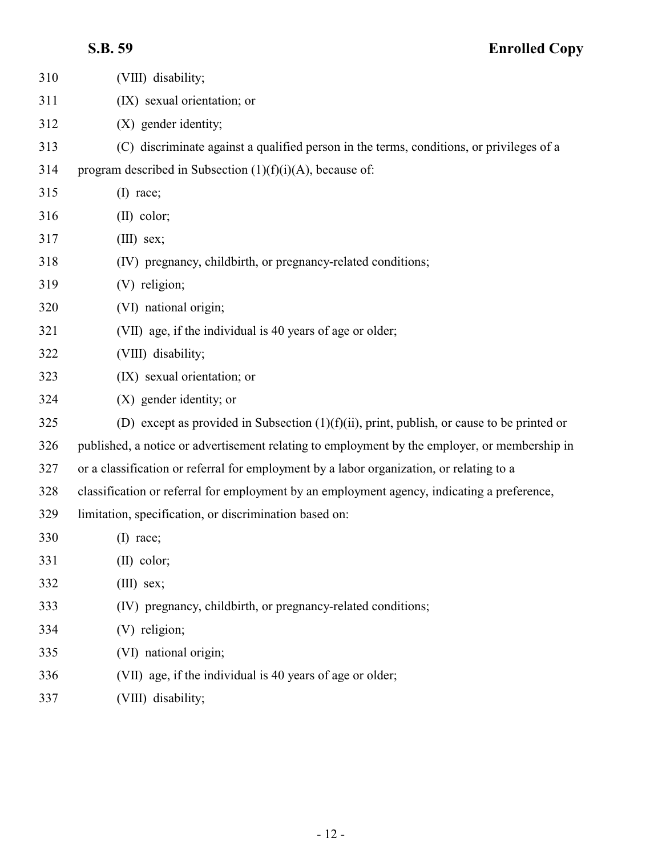| 310 | (VIII) disability;                                                                            |
|-----|-----------------------------------------------------------------------------------------------|
| 311 | (IX) sexual orientation; or                                                                   |
| 312 | (X) gender identity;                                                                          |
| 313 | (C) discriminate against a qualified person in the terms, conditions, or privileges of a      |
| 314 | program described in Subsection $(1)(f)(i)(A)$ , because of:                                  |
| 315 | $(I)$ race;                                                                                   |
| 316 | $(II)$ color;                                                                                 |
| 317 | $(III)$ sex;                                                                                  |
| 318 | (IV) pregnancy, childbirth, or pregnancy-related conditions;                                  |
| 319 | (V) religion;                                                                                 |
| 320 | (VI) national origin;                                                                         |
| 321 | (VII) age, if the individual is 40 years of age or older;                                     |
| 322 | (VIII) disability;                                                                            |
| 323 | (IX) sexual orientation; or                                                                   |
| 324 | (X) gender identity; or                                                                       |
| 325 | (D) except as provided in Subsection $(1)(f)(ii)$ , print, publish, or cause to be printed or |
| 326 | published, a notice or advertisement relating to employment by the employer, or membership in |
| 327 | or a classification or referral for employment by a labor organization, or relating to a      |
| 328 | classification or referral for employment by an employment agency, indicating a preference,   |
| 329 | limitation, specification, or discrimination based on:                                        |
| 330 | $(I)$ race;                                                                                   |
| 331 | $(II)$ color;                                                                                 |
| 332 | $(III)$ sex;                                                                                  |
| 333 | (IV) pregnancy, childbirth, or pregnancy-related conditions;                                  |
| 334 | (V) religion;                                                                                 |
| 335 | (VI) national origin;                                                                         |
| 336 | (VII) age, if the individual is 40 years of age or older;                                     |
| 337 | (VIII) disability;                                                                            |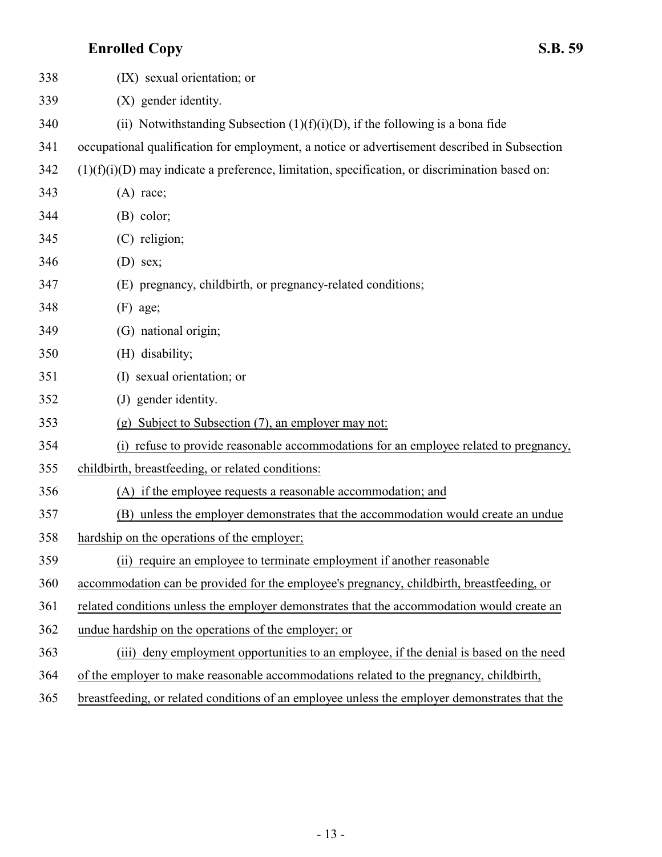| 338 | (IX) sexual orientation; or                                                                      |
|-----|--------------------------------------------------------------------------------------------------|
| 339 | (X) gender identity.                                                                             |
| 340 | (ii) Notwithstanding Subsection $(1)(f)(i)(D)$ , if the following is a bona fide                 |
| 341 | occupational qualification for employment, a notice or advertisement described in Subsection     |
| 342 | $(1)(f)(i)(D)$ may indicate a preference, limitation, specification, or discrimination based on: |
| 343 | $(A)$ race;                                                                                      |
| 344 | $(B)$ color;                                                                                     |
| 345 | (C) religion;                                                                                    |
| 346 | $(D)$ sex;                                                                                       |
| 347 | (E) pregnancy, childbirth, or pregnancy-related conditions;                                      |
| 348 | $(F)$ age;                                                                                       |
| 349 | (G) national origin;                                                                             |
| 350 | (H) disability;                                                                                  |
| 351 | (I) sexual orientation; or                                                                       |
| 352 | (J) gender identity.                                                                             |
| 353 | (g) Subject to Subsection (7), an employer may not:                                              |
| 354 | (i) refuse to provide reasonable accommodations for an employee related to pregnancy,            |
| 355 | childbirth, breastfeeding, or related conditions:                                                |
| 356 | (A) if the employee requests a reasonable accommodation; and                                     |
| 357 | (B) unless the employer demonstrates that the accommodation would create an undue                |
| 358 | hardship on the operations of the employer;                                                      |
| 359 | (ii) require an employee to terminate employment if another reasonable                           |
| 360 | accommodation can be provided for the employee's pregnancy, childbirth, breastfeeding, or        |
| 361 | related conditions unless the employer demonstrates that the accommodation would create an       |
| 362 | undue hardship on the operations of the employer; or                                             |
| 363 | deny employment opportunities to an employee, if the denial is based on the need<br>(iii)        |
| 364 | of the employer to make reasonable accommodations related to the pregnancy, childbirth,          |
| 365 | breastfeeding, or related conditions of an employee unless the employer demonstrates that the    |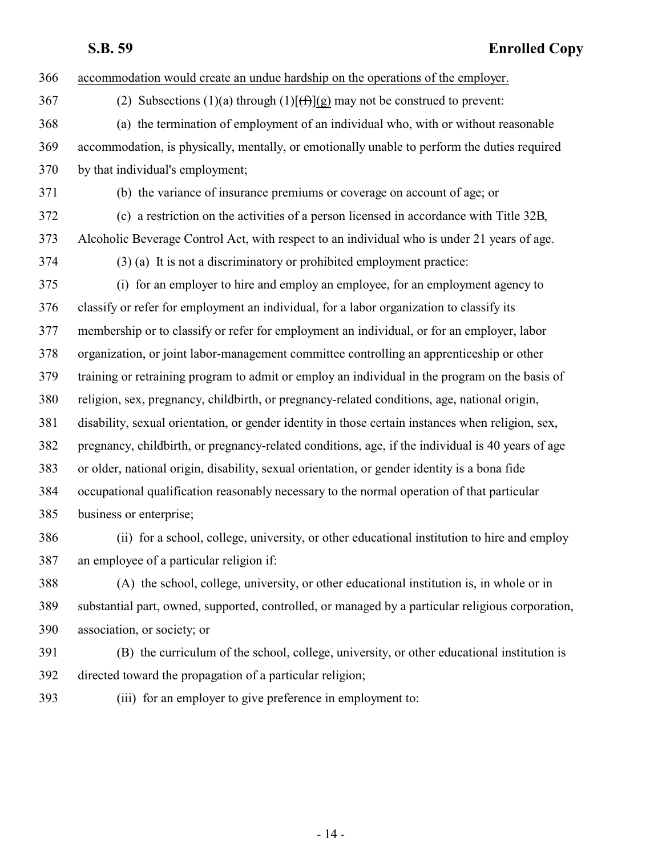| 366 | accommodation would create an undue hardship on the operations of the employer.                   |
|-----|---------------------------------------------------------------------------------------------------|
| 367 | (2) Subsections (1)(a) through (1) $[ff](g)$ may not be construed to prevent:                     |
| 368 | (a) the termination of employment of an individual who, with or without reasonable                |
| 369 | accommodation, is physically, mentally, or emotionally unable to perform the duties required      |
| 370 | by that individual's employment;                                                                  |
| 371 | (b) the variance of insurance premiums or coverage on account of age; or                          |
| 372 | (c) a restriction on the activities of a person licensed in accordance with Title 32B,            |
| 373 | Alcoholic Beverage Control Act, with respect to an individual who is under 21 years of age.       |
| 374 | $(3)$ (a) It is not a discriminatory or prohibited employment practice:                           |
| 375 | (i) for an employer to hire and employ an employee, for an employment agency to                   |
| 376 | classify or refer for employment an individual, for a labor organization to classify its          |
| 377 | membership or to classify or refer for employment an individual, or for an employer, labor        |
| 378 | organization, or joint labor-management committee controlling an apprenticeship or other          |
| 379 | training or retraining program to admit or employ an individual in the program on the basis of    |
| 380 | religion, sex, pregnancy, childbirth, or pregnancy-related conditions, age, national origin,      |
| 381 | disability, sexual orientation, or gender identity in those certain instances when religion, sex, |
| 382 | pregnancy, childbirth, or pregnancy-related conditions, age, if the individual is 40 years of age |
| 383 | or older, national origin, disability, sexual orientation, or gender identity is a bona fide      |
| 384 | occupational qualification reasonably necessary to the normal operation of that particular        |
| 385 | business or enterprise;                                                                           |
| 386 | (ii) for a school, college, university, or other educational institution to hire and employ       |
| 387 | an employee of a particular religion if:                                                          |
| 388 | (A) the school, college, university, or other educational institution is, in whole or in          |
| 389 | substantial part, owned, supported, controlled, or managed by a particular religious corporation, |
| 390 | association, or society; or                                                                       |
| 201 | (D) the growing was of the school collage intermate on other educational institution is           |

- (B) the curriculum of the school, college, university, or other educational institution is directed toward the propagation of a particular religion;
	-
- (iii) for an employer to give preference in employment to: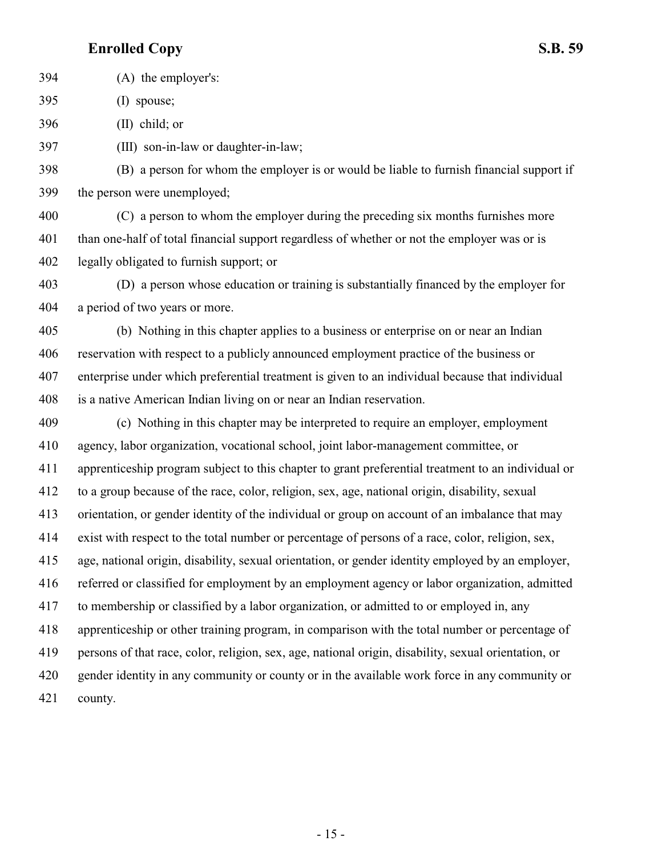(A) the employer's: (I) spouse;

(II) child; or

(III) son-in-law or daughter-in-law;

 (B) a person for whom the employer is or would be liable to furnish financial support if the person were unemployed;

 (C) a person to whom the employer during the preceding six months furnishes more than one-half of total financial support regardless of whether or not the employer was or is legally obligated to furnish support; or

 (D) a person whose education or training is substantially financed by the employer for a period of two years or more.

 (b) Nothing in this chapter applies to a business or enterprise on or near an Indian reservation with respect to a publicly announced employment practice of the business or enterprise under which preferential treatment is given to an individual because that individual is a native American Indian living on or near an Indian reservation.

 (c) Nothing in this chapter may be interpreted to require an employer, employment agency, labor organization, vocational school, joint labor-management committee, or apprenticeship program subject to this chapter to grant preferential treatment to an individual or to a group because of the race, color, religion, sex, age, national origin, disability, sexual orientation, or gender identity of the individual or group on account of an imbalance that may exist with respect to the total number or percentage of persons of a race, color, religion, sex, age, national origin, disability, sexual orientation, or gender identity employed by an employer, referred or classified for employment by an employment agency or labor organization, admitted to membership or classified by a labor organization, or admitted to or employed in, any apprenticeship or other training program, in comparison with the total number or percentage of persons of that race, color, religion, sex, age, national origin, disability, sexual orientation, or gender identity in any community or county or in the available work force in any community or county.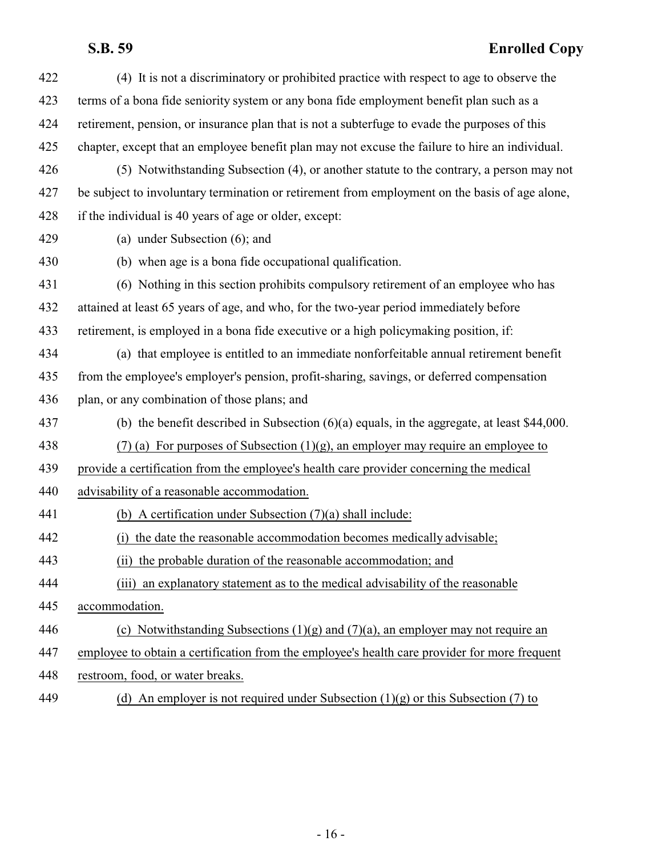| 422 | (4) It is not a discriminatory or prohibited practice with respect to age to observe the        |
|-----|-------------------------------------------------------------------------------------------------|
| 423 | terms of a bona fide seniority system or any bona fide employment benefit plan such as a        |
| 424 | retirement, pension, or insurance plan that is not a subterfuge to evade the purposes of this   |
| 425 | chapter, except that an employee benefit plan may not excuse the failure to hire an individual. |
| 426 | (5) Notwithstanding Subsection (4), or another statute to the contrary, a person may not        |
| 427 | be subject to involuntary termination or retirement from employment on the basis of age alone,  |
| 428 | if the individual is 40 years of age or older, except:                                          |
| 429 | (a) under Subsection $(6)$ ; and                                                                |
| 430 | (b) when age is a bona fide occupational qualification.                                         |
| 431 | (6) Nothing in this section prohibits compulsory retirement of an employee who has              |
| 432 | attained at least 65 years of age, and who, for the two-year period immediately before          |
| 433 | retirement, is employed in a bona fide executive or a high policymaking position, if:           |
| 434 | (a) that employee is entitled to an immediate nonforfeitable annual retirement benefit          |
| 435 | from the employee's employer's pension, profit-sharing, savings, or deferred compensation       |
| 436 | plan, or any combination of those plans; and                                                    |
| 437 | (b) the benefit described in Subsection $(6)(a)$ equals, in the aggregate, at least \$44,000.   |
| 438 | $(7)$ (a) For purposes of Subsection (1)(g), an employer may require an employee to             |
| 439 | provide a certification from the employee's health care provider concerning the medical         |
| 440 | advisability of a reasonable accommodation.                                                     |
| 441 | (b) A certification under Subsection $(7)(a)$ shall include:                                    |
| 442 | the date the reasonable accommodation becomes medically advisable;                              |
| 443 | (ii) the probable duration of the reasonable accommodation; and                                 |
| 444 | (iii) an explanatory statement as to the medical advisability of the reasonable                 |
| 445 | accommodation.                                                                                  |
| 446 | (c) Notwithstanding Subsections $(1)(g)$ and $(7)(a)$ , an employer may not require an          |
| 447 | employee to obtain a certification from the employee's health care provider for more frequent   |
| 448 | restroom, food, or water breaks.                                                                |
| 449 | (d) An employer is not required under Subsection $(1)(g)$ or this Subsection (7) to             |